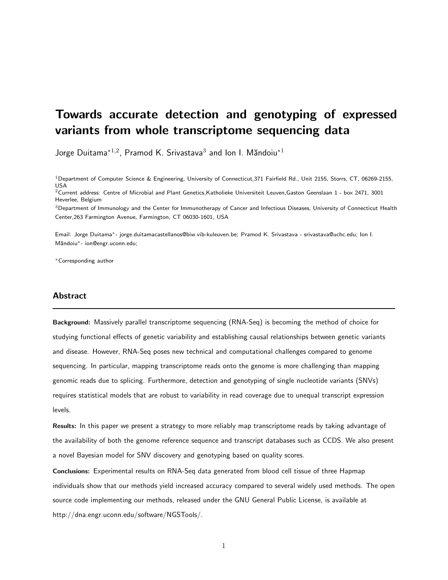# Towards accurate detection and genotyping of expressed variants from whole transcriptome sequencing data

Jorge Duitama $^{*1,2}$ , Pramod K. Srivastava $^3$  and Ion I. Măndoiu $^{*1}$ 

 $3$ Department of Immunology and the Center for Immunotherapy of Cancer and Infectious Diseases, University of Connecticut Health Center,263 Farmington Avenue, Farmington, CT 06030-1601, USA

Email: Jorge Duitama∗- jorge.duitamacastellanos@biw.vib-kuleuven.be; Pramod K. Srivastava - srivastava@uchc.edu; Ion I. Măndoiu<sup>\*</sup>- ion@engr.uconn.edu;

<sup>∗</sup>Corresponding author

# **Abstract**

Background: Massively parallel transcriptome sequencing (RNA-Seq) is becoming the method of choice for studying functional effects of genetic variability and establishing causal relationships between genetic variants and disease. However, RNA-Seq poses new technical and computational challenges compared to genome sequencing. In particular, mapping transcriptome reads onto the genome is more challenging than mapping genomic reads due to splicing. Furthermore, detection and genotyping of single nucleotide variants (SNVs) requires statistical models that are robust to variability in read coverage due to unequal transcript expression levels.

Results: In this paper we present a strategy to more reliably map transcriptome reads by taking advantage of the availability of both the genome reference sequence and transcript databases such as CCDS. We also present a novel Bayesian model for SNV discovery and genotyping based on quality scores.

Conclusions: Experimental results on RNA-Seq data generated from blood cell tissue of three Hapmap individuals show that our methods yield increased accuracy compared to several widely used methods. The open source code implementing our methods, released under the GNU General Public License, is available at http://dna.engr.uconn.edu/software/NGSTools/.

<sup>&</sup>lt;sup>1</sup>Department of Computer Science & Engineering, University of Connecticut, 371 Fairfield Rd., Unit 2155, Storrs, CT, 06269-2155, USA

 $2$ Current address: Centre of Microbial and Plant Genetics, Katholieke Universiteit Leuven, Gaston Geenslaan 1 - box 2471, 3001 Heverlee, Belgium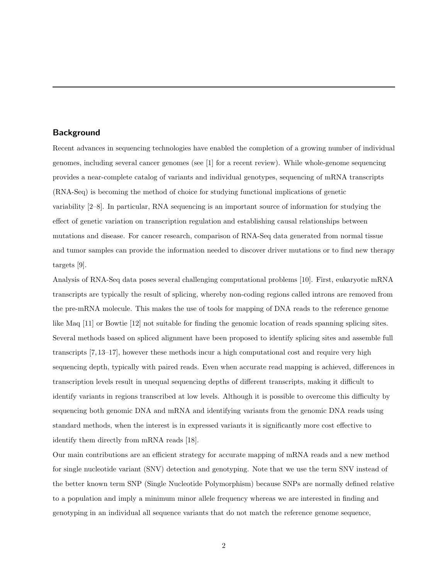# Background

Recent advances in sequencing technologies have enabled the completion of a growing number of individual genomes, including several cancer genomes (see [1] for a recent review). While whole-genome sequencing provides a near-complete catalog of variants and individual genotypes, sequencing of mRNA transcripts (RNA-Seq) is becoming the method of choice for studying functional implications of genetic variability [2–8]. In particular, RNA sequencing is an important source of information for studying the effect of genetic variation on transcription regulation and establishing causal relationships between mutations and disease. For cancer research, comparison of RNA-Seq data generated from normal tissue and tumor samples can provide the information needed to discover driver mutations or to find new therapy targets [9].

Analysis of RNA-Seq data poses several challenging computational problems [10]. First, eukaryotic mRNA transcripts are typically the result of splicing, whereby non-coding regions called introns are removed from the pre-mRNA molecule. This makes the use of tools for mapping of DNA reads to the reference genome like Maq [11] or Bowtie [12] not suitable for finding the genomic location of reads spanning splicing sites. Several methods based on spliced alignment have been proposed to identify splicing sites and assemble full transcripts [7, 13–17], however these methods incur a high computational cost and require very high sequencing depth, typically with paired reads. Even when accurate read mapping is achieved, differences in transcription levels result in unequal sequencing depths of different transcripts, making it difficult to identify variants in regions transcribed at low levels. Although it is possible to overcome this difficulty by sequencing both genomic DNA and mRNA and identifying variants from the genomic DNA reads using standard methods, when the interest is in expressed variants it is significantly more cost effective to identify them directly from mRNA reads [18].

Our main contributions are an efficient strategy for accurate mapping of mRNA reads and a new method for single nucleotide variant (SNV) detection and genotyping. Note that we use the term SNV instead of the better known term SNP (Single Nucleotide Polymorphism) because SNPs are normally defined relative to a population and imply a minimum minor allele frequency whereas we are interested in finding and genotyping in an individual all sequence variants that do not match the reference genome sequence,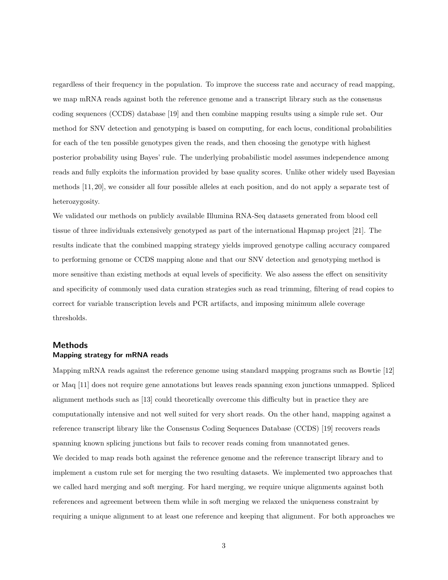regardless of their frequency in the population. To improve the success rate and accuracy of read mapping, we map mRNA reads against both the reference genome and a transcript library such as the consensus coding sequences (CCDS) database [19] and then combine mapping results using a simple rule set. Our method for SNV detection and genotyping is based on computing, for each locus, conditional probabilities for each of the ten possible genotypes given the reads, and then choosing the genotype with highest posterior probability using Bayes' rule. The underlying probabilistic model assumes independence among reads and fully exploits the information provided by base quality scores. Unlike other widely used Bayesian methods [11, 20], we consider all four possible alleles at each position, and do not apply a separate test of heterozygosity.

We validated our methods on publicly available Illumina RNA-Seq datasets generated from blood cell tissue of three individuals extensively genotyped as part of the international Hapmap project [21]. The results indicate that the combined mapping strategy yields improved genotype calling accuracy compared to performing genome or CCDS mapping alone and that our SNV detection and genotyping method is more sensitive than existing methods at equal levels of specificity. We also assess the effect on sensitivity and specificity of commonly used data curation strategies such as read trimming, filtering of read copies to correct for variable transcription levels and PCR artifacts, and imposing minimum allele coverage thresholds.

# Methods Mapping strategy for mRNA reads

Mapping mRNA reads against the reference genome using standard mapping programs such as Bowtie [12] or Maq [11] does not require gene annotations but leaves reads spanning exon junctions unmapped. Spliced alignment methods such as [13] could theoretically overcome this difficulty but in practice they are computationally intensive and not well suited for very short reads. On the other hand, mapping against a reference transcript library like the Consensus Coding Sequences Database (CCDS) [19] recovers reads spanning known splicing junctions but fails to recover reads coming from unannotated genes. We decided to map reads both against the reference genome and the reference transcript library and to implement a custom rule set for merging the two resulting datasets. We implemented two approaches that we called hard merging and soft merging. For hard merging, we require unique alignments against both references and agreement between them while in soft merging we relaxed the uniqueness constraint by requiring a unique alignment to at least one reference and keeping that alignment. For both approaches we

3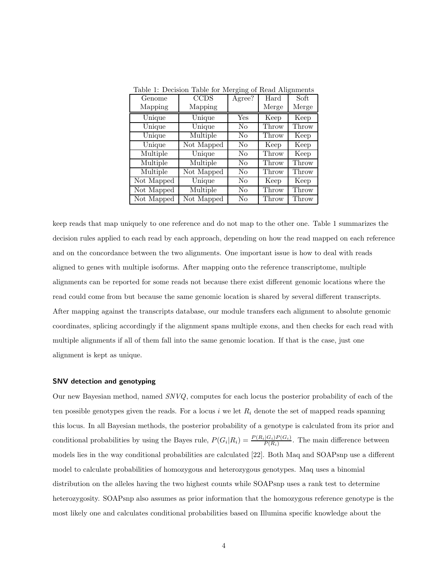| Table 1. Deciment Table for merging of recade emigrational |             |                |       |       |  |  |  |
|------------------------------------------------------------|-------------|----------------|-------|-------|--|--|--|
| Genome                                                     | <b>CCDS</b> | Agree?         | Hard  | Soft  |  |  |  |
| Mapping                                                    | Mapping     |                | Merge | Merge |  |  |  |
| Unique                                                     | Unique      | Yes            | Keep  | Keep  |  |  |  |
| Unique                                                     | Unique      | N <sub>0</sub> | Throw | Throw |  |  |  |
| Unique                                                     | Multiple    | N <sub>0</sub> | Throw | Keep  |  |  |  |
| Unique                                                     | Not Mapped  | N <sub>0</sub> | Keep  | Keep  |  |  |  |
| Multiple                                                   | Unique      | N <sub>0</sub> | Throw | Keep  |  |  |  |
| Multiple                                                   | Multiple    | $\rm No$       | Throw | Throw |  |  |  |
| Multiple                                                   | Not Mapped  | No             | Throw | Throw |  |  |  |
| Not Mapped                                                 | Unique      | N <sub>0</sub> | Keep  | Keep  |  |  |  |
| Not Mapped                                                 | Multiple    | No             | Throw | Throw |  |  |  |
| Not Mapped                                                 | Not Mapped  | No             | Throw | Throw |  |  |  |

Table 1: Decision Table for Merging of Read Alignments

keep reads that map uniquely to one reference and do not map to the other one. Table 1 summarizes the decision rules applied to each read by each approach, depending on how the read mapped on each reference and on the concordance between the two alignments. One important issue is how to deal with reads aligned to genes with multiple isoforms. After mapping onto the reference transcriptome, multiple alignments can be reported for some reads not because there exist different genomic locations where the read could come from but because the same genomic location is shared by several different transcripts. After mapping against the transcripts database, our module transfers each alignment to absolute genomic coordinates, splicing accordingly if the alignment spans multiple exons, and then checks for each read with multiple alignments if all of them fall into the same genomic location. If that is the case, just one alignment is kept as unique.

### SNV detection and genotyping

Our new Bayesian method, named SNVQ, computes for each locus the posterior probability of each of the ten possible genotypes given the reads. For a locus i we let  $R_i$  denote the set of mapped reads spanning this locus. In all Bayesian methods, the posterior probability of a genotype is calculated from its prior and conditional probabilities by using the Bayes rule,  $P(G_i|R_i) = \frac{P(R_i|G_i)P(G_i)}{P(R_i)}$ . The main difference between models lies in the way conditional probabilities are calculated [22]. Both Maq and SOAPsnp use a different model to calculate probabilities of homozygous and heterozygous genotypes. Maq uses a binomial distribution on the alleles having the two highest counts while SOAPsnp uses a rank test to determine heterozygosity. SOAPsnp also assumes as prior information that the homozygous reference genotype is the most likely one and calculates conditional probabilities based on Illumina specific knowledge about the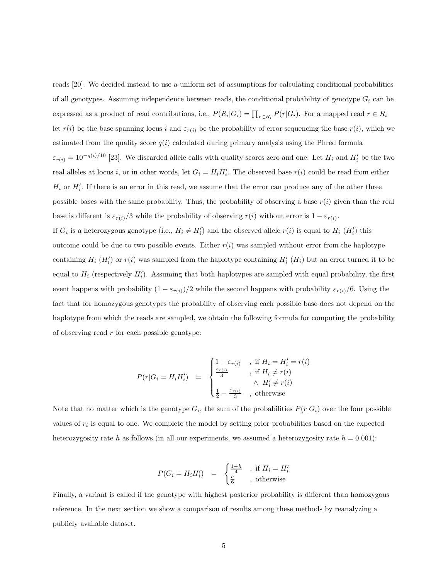reads [20]. We decided instead to use a uniform set of assumptions for calculating conditional probabilities of all genotypes. Assuming independence between reads, the conditional probability of genotype  $G_i$  can be expressed as a product of read contributions, i.e.,  $P(R_i|G_i) = \prod_{r \in R_i} P(r|G_i)$ . For a mapped read  $r \in R_i$ let  $r(i)$  be the base spanning locus i and  $\varepsilon_{r(i)}$  be the probability of error sequencing the base  $r(i)$ , which we estimated from the quality score  $q(i)$  calculated during primary analysis using the Phred formula  $\varepsilon_{r(i)} = 10^{-q(i)/10}$  [23]. We discarded allele calls with quality scores zero and one. Let  $H_i$  and  $H'_i$  be the two real alleles at locus *i*, or in other words, let  $G_i = H_i H'_i$ . The observed base  $r(i)$  could be read from either  $H_i$  or  $H'_i$ . If there is an error in this read, we assume that the error can produce any of the other three possible bases with the same probability. Thus, the probability of observing a base  $r(i)$  given than the real base is different is  $\varepsilon_{r(i)}/3$  while the probability of observing  $r(i)$  without error is  $1 - \varepsilon_{r(i)}$ . If  $G_i$  is a heterozygous genotype (i.e.,  $H_i \neq H'_i$ ) and the observed allele  $r(i)$  is equal to  $H_i$  ( $H'_i$ ) this outcome could be due to two possible events. Either  $r(i)$  was sampled without error from the haplotype containing  $H_i(H'_i)$  or  $r(i)$  was sampled from the haplotype containing  $H'_i(H_i)$  but an error turned it to be equal to  $H_i$  (respectively  $H'_i$ ). Assuming that both haplotypes are sampled with equal probability, the first event happens with probability  $(1 - \varepsilon_{r(i)})/2$  while the second happens with probability  $\varepsilon_{r(i)}/6$ . Using the fact that for homozygous genotypes the probability of observing each possible base does not depend on the haplotype from which the reads are sampled, we obtain the following formula for computing the probability of observing read  $r$  for each possible genotype:

$$
P(r|G_i = H_i H_i') = \begin{cases} 1 - \varepsilon_{r(i)} & , \text{ if } H_i = H_i' = r(i) \\ \frac{\varepsilon_{r(i)}}{3} & , \text{ if } H_i \neq r(i) \\ \lambda & H_i' \neq r(i) \\ \frac{1}{2} - \frac{\varepsilon_{r(i)}}{3} & , \text{ otherwise} \end{cases}
$$

Note that no matter which is the genotype  $G_i$ , the sum of the probabilities  $P(r|G_i)$  over the four possible values of  $r_i$  is equal to one. We complete the model by setting prior probabilities based on the expected heterozygosity rate h as follows (in all our experiments, we assumed a heterozygosity rate  $h = 0.001$ ):

$$
P(G_i = H_i H'_i) = \begin{cases} \frac{1-h}{4} , & \text{if } H_i = H'_i \\ \frac{h}{6} , & \text{otherwise} \end{cases}
$$

Finally, a variant is called if the genotype with highest posterior probability is different than homozygous reference. In the next section we show a comparison of results among these methods by reanalyzing a publicly available dataset.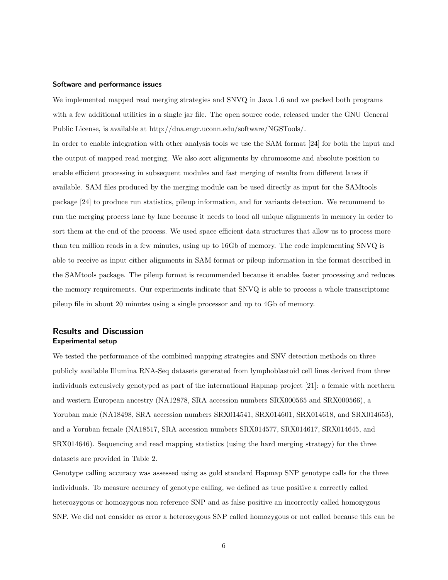#### Software and performance issues

We implemented mapped read merging strategies and SNVQ in Java 1.6 and we packed both programs with a few additional utilities in a single jar file. The open source code, released under the GNU General Public License, is available at http://dna.engr.uconn.edu/software/NGSTools/.

In order to enable integration with other analysis tools we use the SAM format [24] for both the input and the output of mapped read merging. We also sort alignments by chromosome and absolute position to enable efficient processing in subsequent modules and fast merging of results from different lanes if available. SAM files produced by the merging module can be used directly as input for the SAMtools package [24] to produce run statistics, pileup information, and for variants detection. We recommend to run the merging process lane by lane because it needs to load all unique alignments in memory in order to sort them at the end of the process. We used space efficient data structures that allow us to process more than ten million reads in a few minutes, using up to 16Gb of memory. The code implementing SNVQ is able to receive as input either alignments in SAM format or pileup information in the format described in the SAMtools package. The pileup format is recommended because it enables faster processing and reduces the memory requirements. Our experiments indicate that SNVQ is able to process a whole transcriptome pileup file in about 20 minutes using a single processor and up to 4Gb of memory.

# Results and Discussion Experimental setup

We tested the performance of the combined mapping strategies and SNV detection methods on three publicly available Illumina RNA-Seq datasets generated from lymphoblastoid cell lines derived from three individuals extensively genotyped as part of the international Hapmap project [21]: a female with northern and western European ancestry (NA12878, SRA accession numbers SRX000565 and SRX000566), a Yoruban male (NA18498, SRA accession numbers SRX014541, SRX014601, SRX014618, and SRX014653), and a Yoruban female (NA18517, SRA accession numbers SRX014577, SRX014617, SRX014645, and SRX014646). Sequencing and read mapping statistics (using the hard merging strategy) for the three datasets are provided in Table 2.

Genotype calling accuracy was assessed using as gold standard Hapmap SNP genotype calls for the three individuals. To measure accuracy of genotype calling, we defined as true positive a correctly called heterozygous or homozygous non reference SNP and as false positive an incorrectly called homozygous SNP. We did not consider as error a heterozygous SNP called homozygous or not called because this can be

6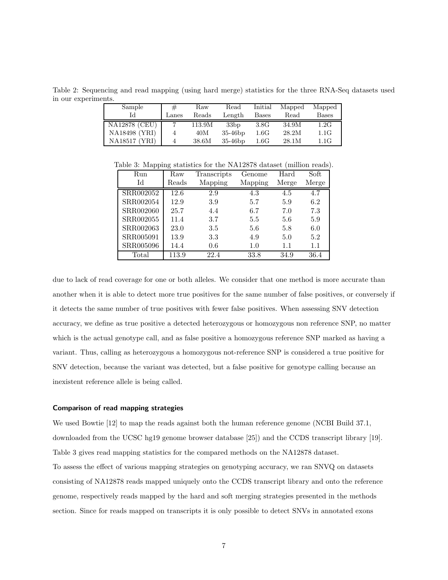Table 2: Sequencing and read mapping (using hard merge) statistics for the three RNA-Seq datasets used in our experiments.

| Sample               | #     | Raw    | Read      | Initial       | Mapped | Mapped |
|----------------------|-------|--------|-----------|---------------|--------|--------|
| IЧ                   | Lanes | Reads  | Length    | Bases         | Read   | Bases  |
| <b>NA12878 (CEU)</b> |       | 113.9M | 33bp      | 3.8G          | 34.9M  | 1.2G   |
| NA18498 (YRI)        |       | 40M    | $35-46bp$ | 1.6G          | 28.2M  | 1.1G   |
| NA18517<br>(YRI)     |       | 38.6M  | $35-46bp$ | $1.6 {\rm G}$ | 28.1M  | 1.1G   |

Table 3: Mapping statistics for the NA12878 dataset (million reads).

| Run       | Raw   | Transcripts | Genome  | Hard  | Soft  |
|-----------|-------|-------------|---------|-------|-------|
| ЫI        | Reads | Mapping     | Mapping | Merge | Merge |
| SRR002052 | 12.6  | 2.9         | 4.3     | 4.5   | 4.7   |
| SRR002054 | 12.9  | 3.9         | 5.7     | 5.9   | 6.2   |
| SRR002060 | 25.7  | 4.4         | 6.7     | 7.0   | 7.3   |
| SRR002055 | 11.4  | 3.7         | 5.5     | 5.6   | 5.9   |
| SRR002063 | 23.0  | 3.5         | 5.6     | 5.8   | 6.0   |
| SRR005091 | 13.9  | 3.3         | 4.9     | 5.0   | 5.2   |
| SRR005096 | 14.4  | 0.6         | 1.0     | 1.1   | 1.1   |
| Total     | 113.9 | 22.4        | 33.8    | 34.9  | 36.4  |

due to lack of read coverage for one or both alleles. We consider that one method is more accurate than another when it is able to detect more true positives for the same number of false positives, or conversely if it detects the same number of true positives with fewer false positives. When assessing SNV detection accuracy, we define as true positive a detected heterozygous or homozygous non reference SNP, no matter which is the actual genotype call, and as false positive a homozygous reference SNP marked as having a variant. Thus, calling as heterozygous a homozygous not-reference SNP is considered a true positive for SNV detection, because the variant was detected, but a false positive for genotype calling because an inexistent reference allele is being called.

#### Comparison of read mapping strategies

We used Bowtie [12] to map the reads against both the human reference genome (NCBI Build 37.1, downloaded from the UCSC hg19 genome browser database [25]) and the CCDS transcript library [19]. Table 3 gives read mapping statistics for the compared methods on the NA12878 dataset.

To assess the effect of various mapping strategies on genotyping accuracy, we ran SNVQ on datasets consisting of NA12878 reads mapped uniquely onto the CCDS transcript library and onto the reference genome, respectively reads mapped by the hard and soft merging strategies presented in the methods section. Since for reads mapped on transcripts it is only possible to detect SNVs in annotated exons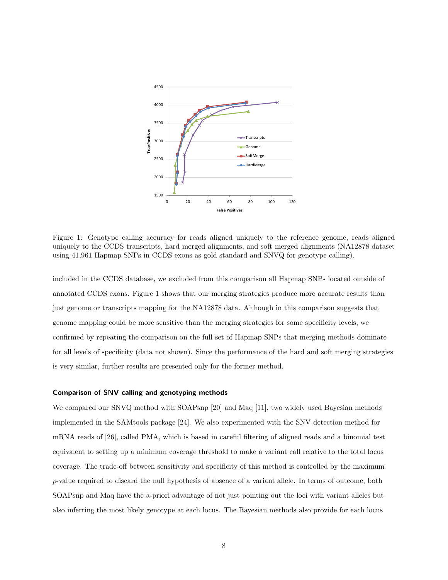

Figure 1: Genotype calling accuracy for reads aligned uniquely to the reference genome, reads aligned uniquely to the CCDS transcripts, hard merged alignments, and soft merged alignments (NA12878 dataset using 41,961 Hapmap SNPs in CCDS exons as gold standard and SNVQ for genotype calling).

included in the CCDS database, we excluded from this comparison all Hapmap SNPs located outside of annotated CCDS exons. Figure 1 shows that our merging strategies produce more accurate results than just genome or transcripts mapping for the NA12878 data. Although in this comparison suggests that genome mapping could be more sensitive than the merging strategies for some specificity levels, we confirmed by repeating the comparison on the full set of Hapmap SNPs that merging methods dominate for all levels of specificity (data not shown). Since the performance of the hard and soft merging strategies is very similar, further results are presented only for the former method.

#### Comparison of SNV calling and genotyping methods

We compared our SNVQ method with SOAPsnp [20] and Maq [11], two widely used Bayesian methods implemented in the SAMtools package [24]. We also experimented with the SNV detection method for mRNA reads of [26], called PMA, which is based in careful filtering of aligned reads and a binomial test equivalent to setting up a minimum coverage threshold to make a variant call relative to the total locus coverage. The trade-off between sensitivity and specificity of this method is controlled by the maximum p-value required to discard the null hypothesis of absence of a variant allele. In terms of outcome, both SOAPsnp and Maq have the a-priori advantage of not just pointing out the loci with variant alleles but also inferring the most likely genotype at each locus. The Bayesian methods also provide for each locus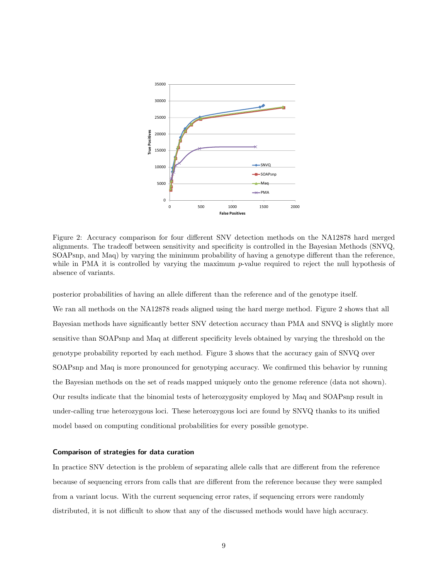

Figure 2: Accuracy comparison for four different SNV detection methods on the NA12878 hard merged alignments. The tradeoff between sensitivity and specificity is controlled in the Bayesian Methods (SNVQ, SOAPsnp, and Maq) by varying the minimum probability of having a genotype different than the reference, while in PMA it is controlled by varying the maximum  $p$ -value required to reject the null hypothesis of absence of variants.

posterior probabilities of having an allele different than the reference and of the genotype itself.

We ran all methods on the NA12878 reads aligned using the hard merge method. Figure 2 shows that all Bayesian methods have significantly better SNV detection accuracy than PMA and SNVQ is slightly more sensitive than SOAPsnp and Maq at different specificity levels obtained by varying the threshold on the genotype probability reported by each method. Figure 3 shows that the accuracy gain of SNVQ over SOAPsnp and Maq is more pronounced for genotyping accuracy. We confirmed this behavior by running the Bayesian methods on the set of reads mapped uniquely onto the genome reference (data not shown). Our results indicate that the binomial tests of heterozygosity employed by Maq and SOAPsnp result in under-calling true heterozygous loci. These heterozygous loci are found by SNVQ thanks to its unified model based on computing conditional probabilities for every possible genotype.

#### Comparison of strategies for data curation

In practice SNV detection is the problem of separating allele calls that are different from the reference because of sequencing errors from calls that are different from the reference because they were sampled from a variant locus. With the current sequencing error rates, if sequencing errors were randomly distributed, it is not difficult to show that any of the discussed methods would have high accuracy.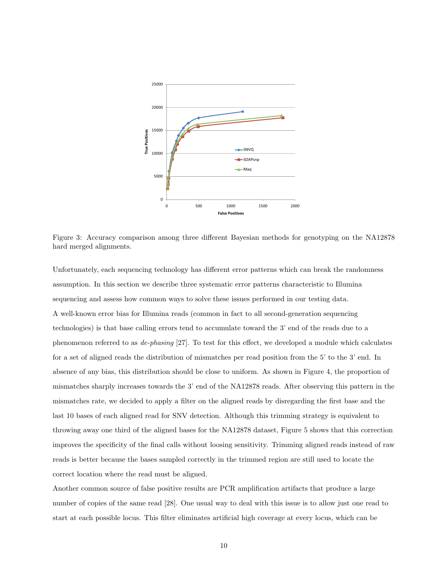

Figure 3: Accuracy comparison among three different Bayesian methods for genotyping on the NA12878 hard merged alignments.

Unfortunately, each sequencing technology has different error patterns which can break the randomness assumption. In this section we describe three systematic error patterns characteristic to Illumina sequencing and assess how common ways to solve these issues performed in our testing data. A well-known error bias for Illumina reads (common in fact to all second-generation sequencing technologies) is that base calling errors tend to accumulate toward the 3' end of the reads due to a phenomenon referred to as de-phasing [27]. To test for this effect, we developed a module which calculates for a set of aligned reads the distribution of mismatches per read position from the 5' to the 3' end. In absence of any bias, this distribution should be close to uniform. As shown in Figure 4, the proportion of mismatches sharply increases towards the 3' end of the NA12878 reads. After observing this pattern in the mismatches rate, we decided to apply a filter on the aligned reads by disregarding the first base and the last 10 bases of each aligned read for SNV detection. Although this trimming strategy is equivalent to throwing away one third of the aligned bases for the NA12878 dataset, Figure 5 shows that this correction improves the specificity of the final calls without loosing sensitivity. Trimming aligned reads instead of raw reads is better because the bases sampled correctly in the trimmed region are still used to locate the correct location where the read must be aligned.

Another common source of false positive results are PCR amplification artifacts that produce a large number of copies of the same read [28]. One usual way to deal with this issue is to allow just one read to start at each possible locus. This filter eliminates artificial high coverage at every locus, which can be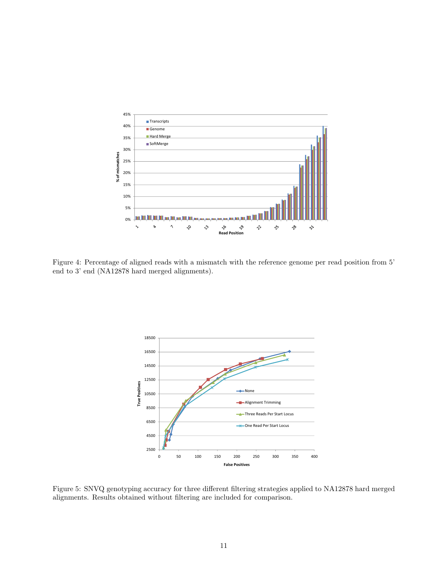

Figure 4: Percentage of aligned reads with a mismatch with the reference genome per read position from 5' end to 3' end (NA12878 hard merged alignments).



Figure 5: SNVQ genotyping accuracy for three different filtering strategies applied to NA12878 hard merged alignments. Results obtained without filtering are included for comparison.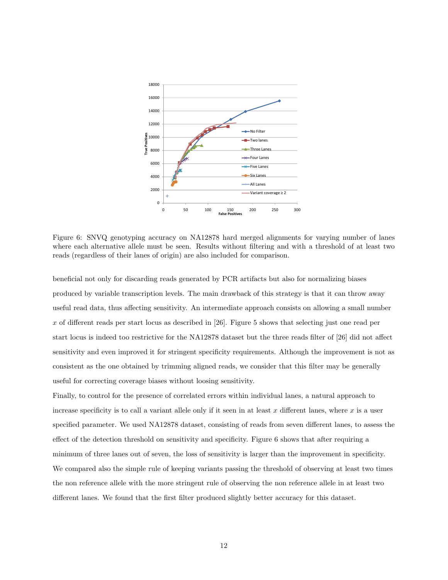

Figure 6: SNVQ genotyping accuracy on NA12878 hard merged alignments for varying number of lanes where each alternative allele must be seen. Results without filtering and with a threshold of at least two reads (regardless of their lanes of origin) are also included for comparison.

beneficial not only for discarding reads generated by PCR artifacts but also for normalizing biases produced by variable transcription levels. The main drawback of this strategy is that it can throw away useful read data, thus affecting sensitivity. An intermediate approach consists on allowing a small number x of different reads per start locus as described in [26]. Figure 5 shows that selecting just one read per start locus is indeed too restrictive for the NA12878 dataset but the three reads filter of [26] did not affect sensitivity and even improved it for stringent specificity requirements. Although the improvement is not as consistent as the one obtained by trimming aligned reads, we consider that this filter may be generally useful for correcting coverage biases without loosing sensitivity.

Finally, to control for the presence of correlated errors within individual lanes, a natural approach to increase specificity is to call a variant allele only if it seen in at least  $x$  different lanes, where  $x$  is a user specified parameter. We used NA12878 dataset, consisting of reads from seven different lanes, to assess the effect of the detection threshold on sensitivity and specificity. Figure 6 shows that after requiring a minimum of three lanes out of seven, the loss of sensitivity is larger than the improvement in specificity. We compared also the simple rule of keeping variants passing the threshold of observing at least two times the non reference allele with the more stringent rule of observing the non reference allele in at least two different lanes. We found that the first filter produced slightly better accuracy for this dataset.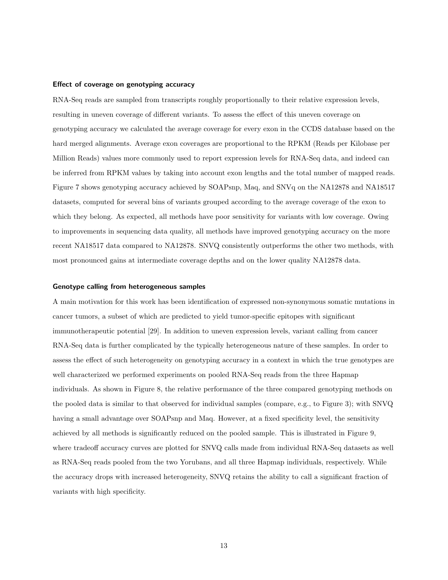#### Effect of coverage on genotyping accuracy

RNA-Seq reads are sampled from transcripts roughly proportionally to their relative expression levels, resulting in uneven coverage of different variants. To assess the effect of this uneven coverage on genotyping accuracy we calculated the average coverage for every exon in the CCDS database based on the hard merged alignments. Average exon coverages are proportional to the RPKM (Reads per Kilobase per Million Reads) values more commonly used to report expression levels for RNA-Seq data, and indeed can be inferred from RPKM values by taking into account exon lengths and the total number of mapped reads. Figure 7 shows genotyping accuracy achieved by SOAPsnp, Maq, and SNVq on the NA12878 and NA18517 datasets, computed for several bins of variants grouped according to the average coverage of the exon to which they belong. As expected, all methods have poor sensitivity for variants with low coverage. Owing to improvements in sequencing data quality, all methods have improved genotyping accuracy on the more recent NA18517 data compared to NA12878. SNVQ consistently outperforms the other two methods, with most pronounced gains at intermediate coverage depths and on the lower quality NA12878 data.

#### Genotype calling from heterogeneous samples

A main motivation for this work has been identification of expressed non-synonymous somatic mutations in cancer tumors, a subset of which are predicted to yield tumor-specific epitopes with significant immunotherapeutic potential [29]. In addition to uneven expression levels, variant calling from cancer RNA-Seq data is further complicated by the typically heterogeneous nature of these samples. In order to assess the effect of such heterogeneity on genotyping accuracy in a context in which the true genotypes are well characterized we performed experiments on pooled RNA-Seq reads from the three Hapmap individuals. As shown in Figure 8, the relative performance of the three compared genotyping methods on the pooled data is similar to that observed for individual samples (compare, e.g., to Figure 3); with SNVQ having a small advantage over SOAPsnp and Maq. However, at a fixed specificity level, the sensitivity achieved by all methods is significantly reduced on the pooled sample. This is illustrated in Figure 9, where tradeoff accuracy curves are plotted for SNVQ calls made from individual RNA-Seq datasets as well as RNA-Seq reads pooled from the two Yorubans, and all three Hapmap individuals, respectively. While the accuracy drops with increased heterogeneity, SNVQ retains the ability to call a significant fraction of variants with high specificity.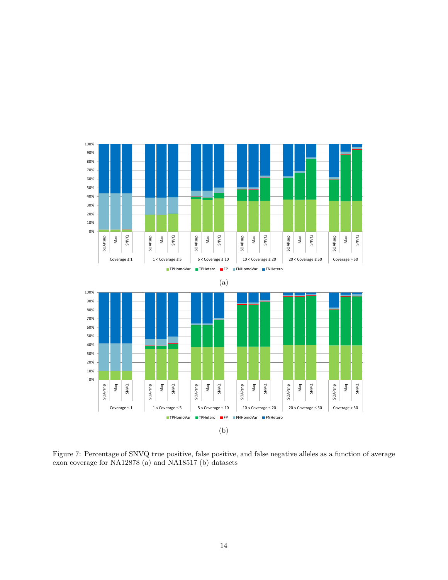

Figure 7: Percentage of SNVQ true positive, false positive, and false negative alleles as a function of average exon coverage for NA12878 (a) and NA18517 (b) datasets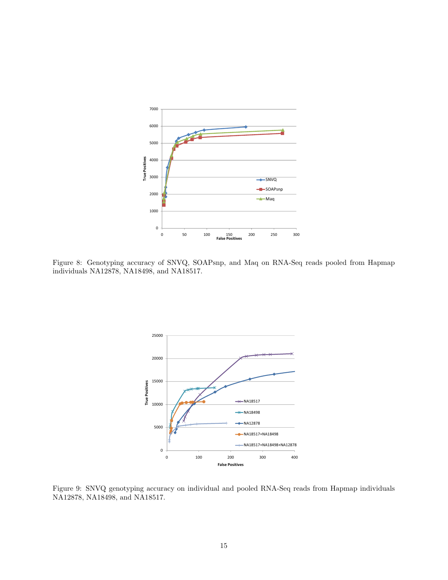

Figure 8: Genotyping accuracy of SNVQ, SOAPsnp, and Maq on RNA-Seq reads pooled from Hapmap individuals NA12878, NA18498, and NA18517.



Figure 9: SNVQ genotyping accuracy on individual and pooled RNA-Seq reads from Hapmap individuals NA12878, NA18498, and NA18517.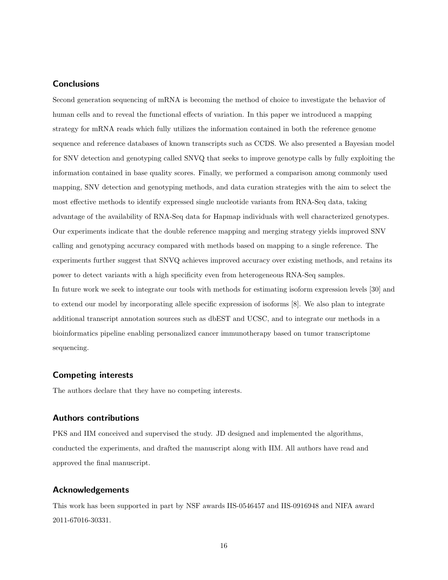# **Conclusions**

Second generation sequencing of mRNA is becoming the method of choice to investigate the behavior of human cells and to reveal the functional effects of variation. In this paper we introduced a mapping strategy for mRNA reads which fully utilizes the information contained in both the reference genome sequence and reference databases of known transcripts such as CCDS. We also presented a Bayesian model for SNV detection and genotyping called SNVQ that seeks to improve genotype calls by fully exploiting the information contained in base quality scores. Finally, we performed a comparison among commonly used mapping, SNV detection and genotyping methods, and data curation strategies with the aim to select the most effective methods to identify expressed single nucleotide variants from RNA-Seq data, taking advantage of the availability of RNA-Seq data for Hapmap individuals with well characterized genotypes. Our experiments indicate that the double reference mapping and merging strategy yields improved SNV calling and genotyping accuracy compared with methods based on mapping to a single reference. The experiments further suggest that SNVQ achieves improved accuracy over existing methods, and retains its power to detect variants with a high specificity even from heterogeneous RNA-Seq samples. In future work we seek to integrate our tools with methods for estimating isoform expression levels [30] and to extend our model by incorporating allele specific expression of isoforms [8]. We also plan to integrate additional transcript annotation sources such as dbEST and UCSC, and to integrate our methods in a bioinformatics pipeline enabling personalized cancer immunotherapy based on tumor transcriptome sequencing.

## Competing interests

The authors declare that they have no competing interests.

## Authors contributions

PKS and IIM conceived and supervised the study. JD designed and implemented the algorithms, conducted the experiments, and drafted the manuscript along with IIM. All authors have read and approved the final manuscript.

## Acknowledgements

This work has been supported in part by NSF awards IIS-0546457 and IIS-0916948 and NIFA award 2011-67016-30331.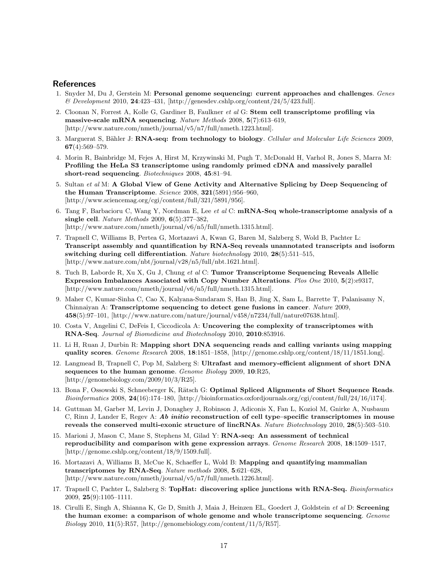## **References**

- 1. Snyder M, Du J, Gerstein M: Personal genome sequencing: current approaches and challenges. Genes  $\mathscr$  Development 2010, 24:423-431, [http://genesdev.cshlp.org/content/24/5/423.full].
- 2. Cloonan N, Forrest A, Kolle G, Gardiner B, Faulkner et al G: Stem cell transcriptome profiling via massive-scale mRNA sequencing. Nature Methods 2008, 5(7):613-619, [http://www.nature.com/nmeth/journal/v5/n7/full/nmeth.1223.html].
- 3. Marguerat S, Bähler J: RNA-seq: from technology to biology. Cellular and Molecular Life Sciences 2009, 67(4):569–579.
- 4. Morin R, Bainbridge M, Fejes A, Hirst M, Krzywinski M, Pugh T, McDonald H, Varhol R, Jones S, Marra M: Profiling the HeLa S3 transcriptome using randomly primed cDNA and massively parallel short-read sequencing. Biotechniques 2008, 45:81–94.
- 5. Sultan et al M: A Global View of Gene Activity and Alternative Splicing by Deep Sequencing of the Human Transcriptome. Science 2008, 321(5891):956–960, [http://www.sciencemag.org/cgi/content/full/321/5891/956].
- 6. Tang F, Barbacioru C, Wang Y, Nordman E, Lee et al C: mRNA-Seq whole-transcriptome analysis of a single cell. Nature Methods 2009, 6(5):377–382, [http://www.nature.com/nmeth/journal/v6/n5/full/nmeth.1315.html].
- 7. Trapnell C, Williams B, Pertea G, Mortazavi A, Kwan G, Baren M, Salzberg S, Wold B, Pachter L: Transcript assembly and quantification by RNA-Seq reveals unannotated transcripts and isoform switching during cell differentiation. Nature biotechnology 2010, 28(5):511–515, [http://www.nature.com/nbt/journal/v28/n5/full/nbt.1621.html].
- 8. Tuch B, Laborde R, Xu X, Gu J, Chung et al C: Tumor Transcriptome Sequencing Reveals Allelic Expression Imbalances Associated with Copy Number Alterations. Plos One 2010, 5(2):e9317, [http://www.nature.com/nmeth/journal/v6/n5/full/nmeth.1315.html].
- 9. Maher C, Kumar-Sinha C, Cao X, Kalyana-Sundaram S, Han B, Jing X, Sam L, Barrette T, Palanisamy N, Chinnaiyan A: Transcriptome sequencing to detect gene fusions in cancer. Nature 2009, 458(5):97–101, [http://www.nature.com/nature/journal/v458/n7234/full/nature07638.html].
- 10. Costa V, Angelini C, DeFeis I, Ciccodicola A: Uncovering the complexity of transcriptomes with RNA-Seq. Journal of Biomedicine and Biotechnology 2010, 2010:853916.
- 11. Li H, Ruan J, Durbin R: Mapping short DNA sequencing reads and calling variants using mapping quality scores. Genome Research 2008, 18:1851–1858, [http://genome.cshlp.org/content/18/11/1851.long].
- 12. Langmead B, Trapnell C, Pop M, Salzberg S: Ultrafast and memory-efficient alignment of short DNA sequences to the human genome. Genome Biology 2009, 10:R25, [http://genomebiology.com/2009/10/3/R25].
- 13. Bona F, Ossowski S, Schneeberger K, Rätsch G: Optimal Spliced Alignments of Short Sequence Reads. Bioinformatics 2008, 24(16):174–180, [http://bioinformatics.oxfordjournals.org/cgi/content/full/24/16/i174].
- 14. Guttman M, Garber M, Levin J, Donaghey J, Robinson J, Adiconis X, Fan L, Koziol M, Gnirke A, Nusbaum C, Rinn J, Lander E, Regev A: Ab initio reconstruction of cell type–specific transcriptomes in mouse reveals the conserved multi-exonic structure of lincRNAs. Nature Biotechnology 2010, 28(5):503–510.
- 15. Marioni J, Mason C, Mane S, Stephens M, Gilad Y: RNA-seq: An assessment of technical reproducibility and comparison with gene expression arrays. Genome Research 2008, 18:1509–1517, [http://genome.cshlp.org/content/18/9/1509.full].
- 16. Mortazavi A, Williams B, McCue K, Schaeffer L, Wold B: Mapping and quantifying mammalian transcriptomes by RNA-Seq. Nature methods 2008, 5:621–628, [http://www.nature.com/nmeth/journal/v5/n7/full/nmeth.1226.html].
- 17. Trapnell C, Pachter L, Salzberg S: TopHat: discovering splice junctions with RNA-Seq. Bioinformatics 2009, 25(9):1105–1111.
- 18. Cirulli E, Singh A, Shianna K, Ge D, Smith J, Maia J, Heinzen EL, Goedert J, Goldstein et al D: Screening the human exome: a comparison of whole genome and whole transcriptome sequencing. Genome  $Biology 2010, 11(5):R57, [http://genomebiology.com/content/11/5/R57].$